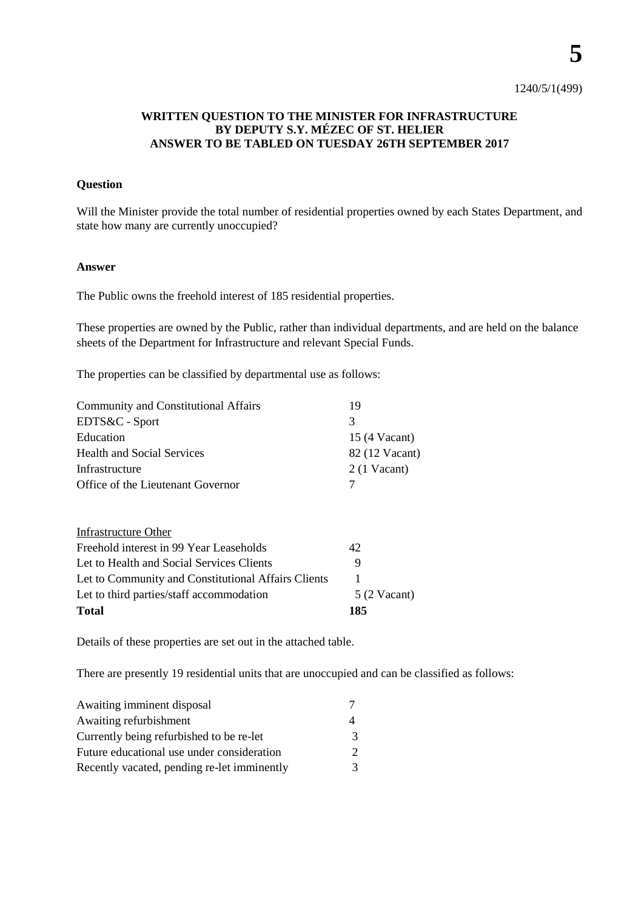**5**

## **WRITTEN QUESTION TO THE MINISTER FOR INFRASTRUCTURE BY DEPUTY S.Y. MÉZEC OF ST. HELIER ANSWER TO BE TABLED ON TUESDAY 26TH SEPTEMBER 2017**

## **Question**

Will the Minister provide the total number of residential properties owned by each States Department, and state how many are currently unoccupied?

## **Answer**

The Public owns the freehold interest of 185 residential properties.

These properties are owned by the Public, rather than individual departments, and are held on the balance sheets of the Department for Infrastructure and relevant Special Funds.

The properties can be classified by departmental use as follows:

| 19                    |
|-----------------------|
| 3                     |
| 15 (4 Vacant)         |
| 82 (12 Vacant)        |
| $2(1$ Vacant)         |
| 7                     |
|                       |
| 42                    |
| 9                     |
|                       |
| $5(2 \text{ Vacant})$ |
| 185                   |
|                       |

Details of these properties are set out in the attached table.

There are presently 19 residential units that are unoccupied and can be classified as follows:

| Awaiting imminent disposal                  |   |
|---------------------------------------------|---|
| Awaiting refurbishment                      |   |
| Currently being refurbished to be re-let    | 3 |
| Future educational use under consideration  |   |
| Recently vacated, pending re-let imminently | 3 |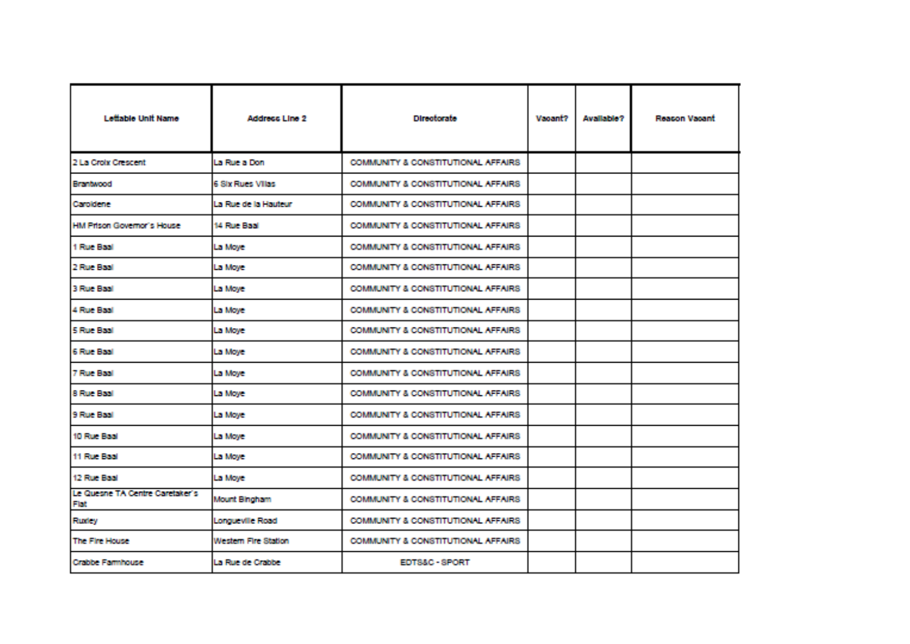| Lettable Unit Name                             | Address Line 2           | <b>Directorate</b>                  | <b>Vapant?</b> | Available? | <b>Reacon Vacant</b> |
|------------------------------------------------|--------------------------|-------------------------------------|----------------|------------|----------------------|
| 2 La Croix Crescent                            | La Rue a Don             | COMMUNITY & CONSTITUTIONAL AFFAIRS  |                |            |                      |
| <b>Brantwood</b>                               | <b>6 Stx Rues Villas</b> | COMMUNITY & CONSTITUTIONAL AFFAIRS  |                |            |                      |
| Caroldene                                      | La Rue de la Hauteur.    | COMMUNITY & CONSTITUTIONAL AFFAIRS  |                |            |                      |
| <b>HM Prison Governor's House</b>              | 14 Fave Baal             | COMMUNITY & CONSTITUTIONAL AFFAIRS. |                |            |                      |
| 1 Four Basil                                   | La Moye                  | COMMUNITY & CONSTITUTIONAL AFFAIRS  |                |            |                      |
| 2 Rose Basil                                   | La Moye                  | COMMUNITY & CONSTITUTIONAL AFFAIRS  |                |            |                      |
| 3 Fox: Baal                                    | La Moye                  | COMMUNITY & CONSTITUTIONAL AFFAIRS  |                |            |                      |
| 4 Rue Baal                                     | La Move                  | COMMUNITY & CONSTITUTIONAL AFFAIRS  |                |            |                      |
| 5 Fox: Baal                                    | La Moye                  | COMMUNITY & CONSTITUTIONAL AFFAIRS  |                |            |                      |
| <b>G Foue Basil</b>                            | La Moye                  | COMMUNITY & CONSTITUTIONAL AFFAIRS  |                |            |                      |
| <b>7 Drug Rasil</b>                            | La Moye                  | COMMUNITY & CONSTITUTIONAL AFFAIRS  |                |            |                      |
| 8 Fore Basil                                   | La Move                  | COMMUNITY & CONSTITUTIONAL AFFAIRS. |                |            |                      |
| 9 Fox: Baal                                    | La Moye                  | COMMUNITY & CONSTITUTIONAL AFFAIRS. |                |            |                      |
| 10 Road Basil                                  | La Moye                  | COMMUNITY & CONSTITUTIONAL AFFAIRS. |                |            |                      |
| 11 Rue Baai                                    | La Moye                  | COMMUNITY & CONSTITUTIONAL AFFAIRS  |                |            |                      |
| 12 Rue Baail                                   | La Move                  | COMMUNITY & CONSTITUTIONAL AFFAIRS  |                |            |                      |
| Le Quesne TA Centre Caretaker's<br><b>Flat</b> | Mount Binoham            | COMMUNITY & CONSTITUTIONAL AFFAIRS  |                |            |                      |
| <b>Rudey</b>                                   | Longueville Road         | COMMUNITY & CONSTITUTIONAL AFFAIRS. |                |            |                      |
| The Fire House                                 | Western Fire Station     | COMMUNITY & CONSTITUTIONAL AFFAIRS. |                |            |                      |
| Crabbe Farmhouse                               | La Rue de Crabbe         | <b>EDTS&amp;C-SPORT</b>             |                |            |                      |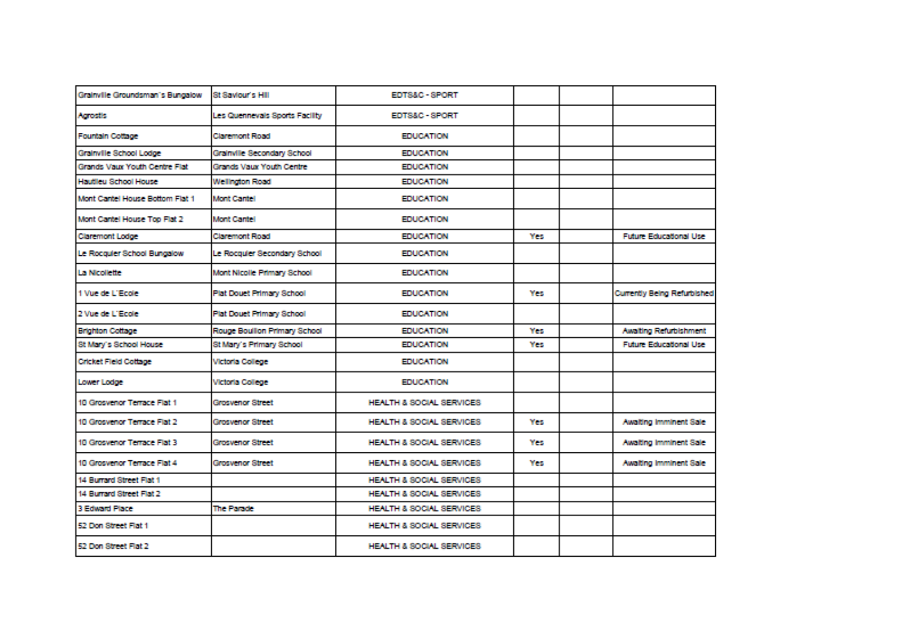| Grainville Groundsman's Bungalow | St Saviour's Hill              | EDTS&C - SPORT                      |     |                               |
|----------------------------------|--------------------------------|-------------------------------------|-----|-------------------------------|
| Agrostis                         | Les Quennevals Sports Facility | EDTS&C - SPORT                      |     |                               |
| Fountain Cottage                 | <b>Claremont Road</b>          | <b>EDUCATION</b>                    |     |                               |
| Grainville School Lodge          | Grainville Secondary School    | <b>EDUCATION</b>                    |     |                               |
| Grands Vaux Youth Centre Flat    | Grands Vaux Youth Centre       | <b>EDUCATION</b>                    |     |                               |
| Hautlieu School House            | <b>Wellington Road</b>         | <b>EDUCATION</b>                    |     |                               |
| Mont Cantel House Bottom Flat 1  | Mont Cantel                    | <b>EDUCATION</b>                    |     |                               |
| Mont Cantel House Too Flat 2     | <b>Mont Caritel</b>            | <b>EDUCATION</b>                    |     |                               |
| <b>Claremont Lodge</b>           | <b>Claremont Road</b>          | <b>EDUCATION</b>                    | Yes | <b>Future Educational Use</b> |
| Le Rocquier School Bungalow      | Le Rocquier Secondary School   | <b>EDUCATION</b>                    |     |                               |
| La Micolette                     | Mont Nicolle Primary School    | <b>EDUCATION</b>                    |     |                               |
| 1 Vue de L'Ecole                 | Plat Douet Primary School      | <b>EDUCATION</b>                    | Yes | Currently Being Refurbished   |
| 2 Vue de L'Ecole                 | Plat Douct Primary School      | <b>EDUCATION</b>                    |     |                               |
| <b>Brighton Cottage</b>          | Rouge Boullon Primary School   | <b>EDUCATION</b>                    | Yes | Awaiting Refurbishment        |
| St Mary's School House           | St Mary's Primary School       | <b>EDUCATION</b>                    | Yes | <b>Future Educational Use</b> |
| Cricket Field Cottage            | Victoria College               | <b>EDUCATION</b>                    |     |                               |
| Lower Lodge                      | Victoria College               | <b>EDUCATION</b>                    |     |                               |
| 10 Grosvenor Terrace Flat 1      | <b>Grosvenor Street</b>        | <b>HEALTH &amp; SOCIAL SERVICES</b> |     |                               |
| 10 Grosvenor Terrace Flat 2      | <b>Grosvenor Street</b>        | HEALTH & SOCIAL SERVICES            | Yes | Awalting Imminent Sale        |
| 10 Grosvenor Terrace Flat 3      | <b>Grosvenor Street</b>        | HEALTH & SOCIAL SERVICES            | Yes | Awaiting Imminent Sale        |
| 10 Grosvenor Terrace Flat 4      | <b>Grosvenor Street</b>        | <b>HEALTH &amp; SOCIAL SERVICES</b> | Yes | Awaiting Imminent Sale        |
| 14 Burrard Street Flat 1         |                                | HEALTH & SOCIAL SERVICES            |     |                               |
| 14 Burrard Street Flat 2         |                                | HEALTH & SOCIAL SERVICES            |     |                               |
| 3 Edward Place                   | The Parade                     | HEALTH & SOCIAL SERVICES            |     |                               |
| 52 Don Street Flat 1             |                                | HEALTH & SOCIAL SERVICES            |     |                               |
| 52 Don Street Flat 2             |                                | HEALTH & SOCIAL SERVICES            |     |                               |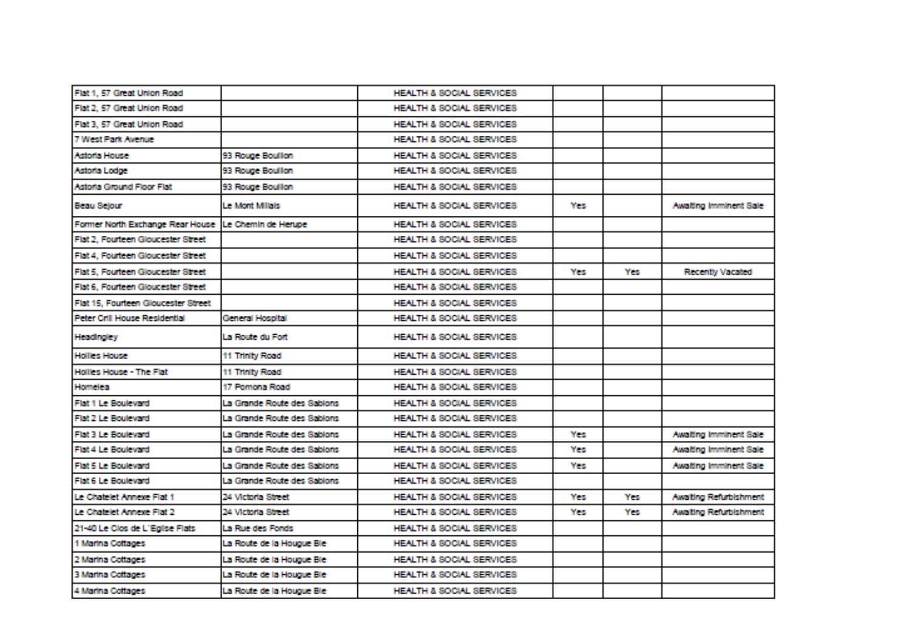| Flat 1, 57 Great Union Road                           |                             | HEALTH & SOCIAL SERVICES            |            |     |                        |
|-------------------------------------------------------|-----------------------------|-------------------------------------|------------|-----|------------------------|
| Flat 2, 57 Great Union Road                           |                             | HEALTH & SOCIAL SERVICES            |            |     |                        |
| Flat 3, 57 Great Union Road                           |                             | HEALTH & SOCIAL SERVICES            |            |     |                        |
| 7 West Park Assess-                                   |                             | HEALTH & SOCIAL SERVICES            |            |     |                        |
| Astrala House                                         | 93 Rouge Boullion           | HEALTH & SOCIAL SERVICES            |            |     |                        |
| Astoria Lodge                                         | 93 Rouge Boullon            | HEALTH & SOCIAL SERVICES            |            |     |                        |
| Astoria Ground Floor Flat                             | 93 Rouge Boullon            | HEALTH & SOCIAL SERVICES            |            |     |                        |
| Beau Selour                                           | Le Mont Millais             | HEALTH & SOCIAL SERVICES            | <b>Yes</b> |     | Awaiting imminent Sale |
| Former North Exchange Rear House LLe Chemin de Herupe |                             | <b>HEALTH &amp; SOCIAL SERVICES</b> |            |     |                        |
| Flat 2. Fourteen Gloucester Street                    |                             | HEALTH & SOCIAL SERVICES            |            |     |                        |
| Flat 4. Fourteen Gloucester Street                    |                             | HEALTH & SOCIAL SERVICES            |            |     |                        |
| Flat 5. Fourteen Gloucester Street                    |                             | HEALTH & SOCIAL SERVICES            | Yes        | Yes | Recently Vacated       |
| Flat 6. Fourteen Gloucester Street                    |                             | HEALTH & SOCIAL SERVICES            |            |     |                        |
| Flat 15. Fourteen Gloucester Street                   |                             | HEALTH & SOCIAL SERVICES            |            |     |                        |
| Peter Crill House Residential                         | General Hospital            | HEALTH & SOCIAL SERVICES            |            |     |                        |
| <b>Headingkry</b>                                     | La Route du Fort            | HEALTH & SOCIAL SERVICES            |            |     |                        |
| <b>Hollies House</b>                                  | 11 Thinlty Road             | HEALTH & SOCIAL SERVICES            |            |     |                        |
| Holles House - The Flat                               | 11 Thinlty Road             | HEALTH & SOCIAL SERVICES            |            |     |                        |
| Homelea                                               | 17 Pomona Road              | HEALTH & SOCIAL SERVICES            |            |     |                        |
| Flat 1 Le Boulevard                                   | La Grande Route des Sabions | HEALTH & SOCIAL SERVICES            |            |     |                        |
| Flat 2 Le Boulevard                                   | La Grande Route des Sabions | HEALTH & SOCIAL SERVICES            |            |     |                        |
| Flat 3 Le Boulevard                                   | La Grande Route des Sabions | HEALTH & SOCIAL SERVICES            | Yes        |     | Awaiting Imminent Sale |
| Flat 4 Le Boulevard                                   | La Grande Route des Sabions | HEALTH & SOCIAL SERVICES            | Yes        |     | Awaiting imminent Sale |
| Flat 5 Le Boulevard                                   | La Grande Route des Sabions | HEALTH & SOCIAL SERVICES            | <b>Yes</b> |     | Awaiting Imminent Sale |
| Flat 6 Le Boulevard                                   | La Grande Route des Sabions | HEALTH & SOCIAL SERVICES            |            |     |                        |
| Le Chatelet Annexe Flat 1                             | 24 Victoria Street          | HEALTH & SOCIAL SERVICES            | Yes        | Yes | Awaiting Refurbishment |
| Le Chatelet Annexe Flat 2                             | 24 Victoria Street          | HEALTH & SOCIAL SERVICES            | Yes        | Yes | Awaiting Refurbishment |
| 21-40 Le Clos de L'Enlise Flats                       | La Rue des Fonds            | HEALTH & SOCIAL SERVICES            |            |     |                        |
| 1 Martina Cottages                                    | La Route de la Houque Ble   | HEALTH & SOCIAL SERVICES            |            |     |                        |
| 2 Martina Cottages                                    | La Route de la Hougue Ble   | HEALTH & SOCIAL SERVICES            |            |     |                        |
| 3 Marina Cottages                                     | La Route de la Hououe Ble.  | HEALTH & SOCIAL SERVICES            |            |     |                        |
| 4 Marina Cottages                                     | La Route de la Houque Ble   | HEALTH & SOCIAL SERVICES            |            |     |                        |
|                                                       |                             |                                     |            |     |                        |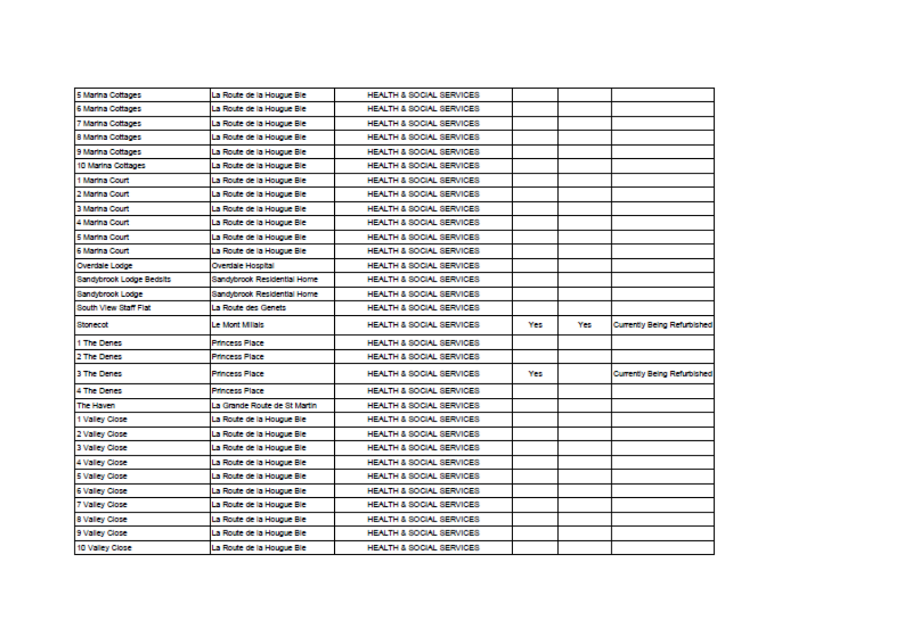| 5 Marina Cottages        | La Route de la Hougue Ble    | HEALTH & SOCIAL SERVICES |     |     |                             |
|--------------------------|------------------------------|--------------------------|-----|-----|-----------------------------|
| 6 Marina Cottages        | La Route de la Hougue Ble    | HEALTH & SOCIAL SERVICES |     |     |                             |
| 7 Marina Cottages        | La Route de la Hougue Ble    | HEALTH & SOCIAL SERVICES |     |     |                             |
| 8 Marina Cottages        | La Route de la Hougue Ble    | HEALTH & SOCIAL SERVICES |     |     |                             |
| 9 Marina Cottages        | La Route de la Hougue Ble    | HEALTH & SOCIAL SERVICES |     |     |                             |
| 10 Marina Cottages       | La Route de la Hougue Ble    | HEALTH & SOCIAL SERVICES |     |     |                             |
| 1 Marina Court           | La Route de la Hougue Ble    | HEALTH & SOCIAL SERVICES |     |     |                             |
| 2 Marina Court           | La Route de la Houque Ble    | HEALTH & SOCIAL SERVICES |     |     |                             |
| 3 Marina Court           | La Route de la Houque Ble    | HEALTH & SOCIAL SERVICES |     |     |                             |
| 4 Marina Court           | La Route de la Hougue Ble    | HEALTH & SOCIAL SERVICES |     |     |                             |
| 5 Marina Court           | La Route de la Hougue Ble    | HEALTH & SOCIAL SERVICES |     |     |                             |
| 6 Marina Court           | La Route de la Hougue Ble    | HEALTH & SOCIAL SERVICES |     |     |                             |
| <b>Overdale Lodge</b>    | Overdale Hospital            | HEALTH & SOCIAL SERVICES |     |     |                             |
| Sandybrook Lodge Bedsits | Sandybrook Residential Home  | HEALTH & SOCIAL SERVICES |     |     |                             |
| Sandybrook Lodge         | Sandybrook Residential Home  | HEALTH & SOCIAL SERVICES |     |     |                             |
| South View Staff Flat    | La Route des Genets          | HEALTH & SOCIAL SERVICES |     |     |                             |
| Stonecot                 | Le Mont Milais               | HEALTH & SOCIAL SERVICES | Yes | Yes | Currently Being Refurbished |
| 1 The Denes              | <b>Princess Place</b>        | HEALTH & SOCIAL SERVICES |     |     |                             |
| 2 The Denes              | <b>Princess Place</b>        | HEALTH & SOCIAL SERVICES |     |     |                             |
| 3 The Denes              | <b>Princess Place</b>        | HEALTH & SOCIAL SERVICES | Yes |     | Currently Being Refurbished |
| 4 The Denes              | <b>Princess Place</b>        | HEALTH & SOCIAL SERVICES |     |     |                             |
| The Haven                | La Grande Route de St Martin | HEALTH & SOCIAL SERVICES |     |     |                             |
| 1 Valley Close           | La Route de la Hougue Ble    | HEALTH & SOCIAL SERVICES |     |     |                             |
| 2 Valley Close           | La Route de la Hougue Ble    | HEALTH & SOCIAL SERVICES |     |     |                             |
| 3 Valley Close           | La Route de la Hougue Ble    | HEALTH & SOCIAL SERVICES |     |     |                             |
| 4 Valley Close           | La Route de la Hougue Ble    | HEALTH & SOCIAL SERVICES |     |     |                             |
| 5 Valley Close           | La Route de la Hougue Ble    | HEALTH & SOCIAL SERVICES |     |     |                             |
| <b>6 Valley Close</b>    | La Route de la Hougue Ble    | HEALTH & SOCIAL SERVICES |     |     |                             |
| 7 Valley Close           | La Route de la Hougue Ble    | HEALTH & SOCIAL SERVICES |     |     |                             |
| 8 Valley Close           | La Route de la Hougue Ble    | HEALTH & SOCIAL SERVICES |     |     |                             |
| 9 Valley Close           | La Route de la Houque Ble    | HEALTH & SOCIAL SERVICES |     |     |                             |
| 10 Valley Close          | La Route de la Hougue Ble    | HEALTH & SOCIAL SERVICES |     |     |                             |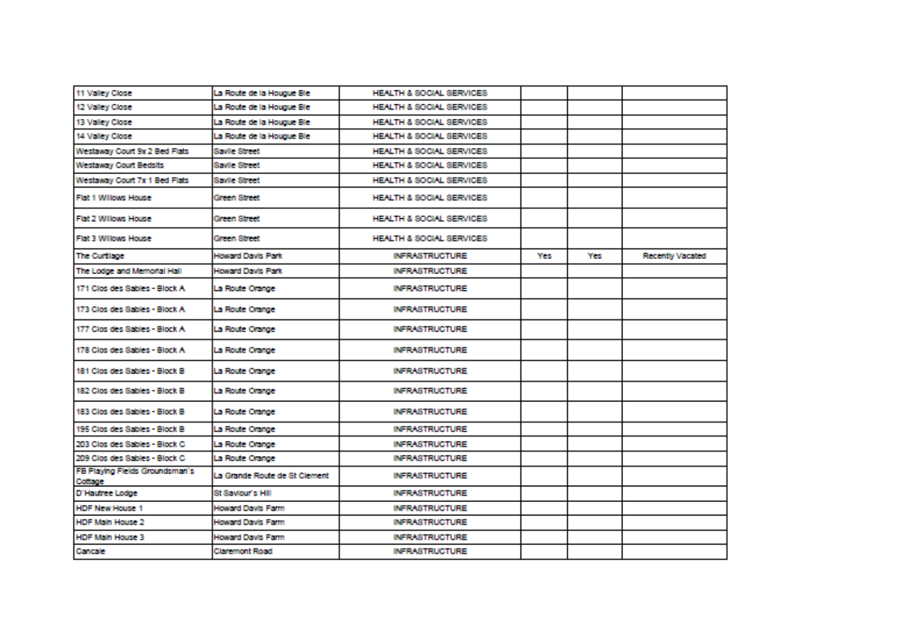| 11 Valley Close                           | La Route de la Houque Ble.    | HEALTH & SOCIAL SERVICES  |      |     |                  |
|-------------------------------------------|-------------------------------|---------------------------|------|-----|------------------|
| 12 Valley Close:                          | La Route de la Hououe Ble.    | HEALTH & SOCIAL SERVICES. |      |     |                  |
| 13 Valley Close                           | La Route de la Houque Ble     | HEALTH & SOCIAL SERVICES. |      |     |                  |
| 14 Valley Close                           | La Route de la Houque Ble     | HEALTH & SOCIAL SERVICES. |      |     |                  |
| Westaway Court 9x 2 Bed Flats             | Savile Street                 | HEALTH & SOCIAL SERVICES  |      |     |                  |
| Westaway Court Bedsits                    | Savile Street                 | HEALTH & SOCIAL SERVICES. |      |     |                  |
| Westaway Court 7x 1 Bed Flats             | Savile Street                 | HEALTH & SOCIAL SERVICES. |      |     |                  |
| Flat 1 Willows House                      | Green Street                  | HEALTH & SOCIAL SERVICES. |      |     |                  |
| Flat 2 Willows House                      | Green Street                  | HEALTH & SOCIAL SERVICES  |      |     |                  |
| Flat 3 Willows House                      | Green Street                  | HEALTH & SOCIAL SERVICES. |      |     |                  |
| The Curtison                              | Howard Davis Park             | <b>INFRASTRUCTURE</b>     | Yes: | Yes | Recently Vacated |
| The Lodge and Memorial Hall               | Howard Davis Park             | <b>INFRASTRUCTURE</b>     |      |     |                  |
| 171 Clos des Sables - Block A             | La Route Orange               | <b>INFRASTRUCTURE</b>     |      |     |                  |
| 173 Clos des Sables - Block A.            | La Route Orange               | <b>INFRASTRUCTURE</b>     |      |     |                  |
| 177 Clos des Sables - Block A             | La Route Crange               | <b>INFRASTRUCTURE</b>     |      |     |                  |
| 178 Class des Sables - Black A            | La Route Orange               | <b>INFRASTRUCTURE</b>     |      |     |                  |
| 181 Clos des Sables - Block B             | La Route Orange               | <b>INFRASTRUCTURE</b>     |      |     |                  |
| 182 Clos des Sables - Block B             | La Route Crange               | <b>INFRASTRUCTURE</b>     |      |     |                  |
| 183 Clos des Sables - Block B             | La Route Orange               | <b>INFRASTRUCTURE</b>     |      |     |                  |
| 195 Class des Sables - Black B.           | La Route Orange               | <b>INFRASTRUCTURE</b>     |      |     |                  |
| 203 Clos des Sables - Block C.            | La Route Crange               | <b>INFRASTRUCTURE</b>     |      |     |                  |
| 209 Clos des Sables - Block C.            | La Route Orange               | <b>INFRASTRUCTURE</b>     |      |     |                  |
| FB Playing Fields Groundsman's<br>Cottage | La Grande Route de St Clement | <b>INFRASTRUCTURE</b>     |      |     |                  |
| D'Hautree Lodge                           | St Saviour's Hill             | <b>INFRASTRUCTURE</b>     |      |     |                  |
| <b>HDF New House 1</b>                    | Howard Davis Farm             | <b>INFRASTRUCTURE</b>     |      |     |                  |
| HDF Main House 2                          | Howard Davis Farm             | <b>INFRASTRUCTURE</b>     |      |     |                  |
| <b>HDF Main House 3</b>                   | Howard Davis Farm             | <b>INFRASTRUCTURE</b>     |      |     |                  |
| Cancale                                   | Claremont Road                | <b>INFRASTRUCTURE</b>     |      |     |                  |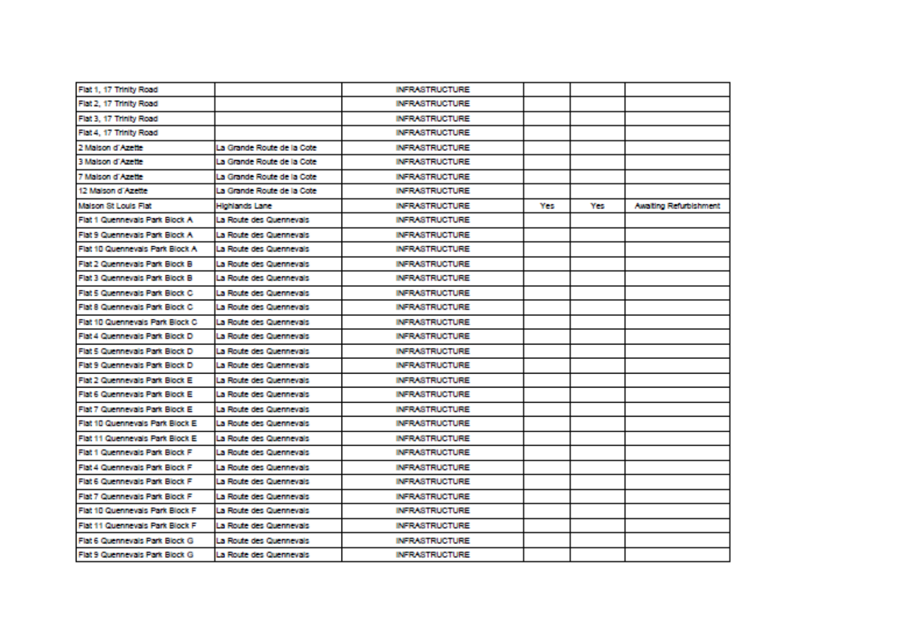| Flat 1, 17 Trinity Road          |                            | INFRASTRUCTURE.       |     |     |                        |
|----------------------------------|----------------------------|-----------------------|-----|-----|------------------------|
| Flat 2. 17 Trinity Road          |                            | INFRASTRUCTURE.       |     |     |                        |
| Flat 3, 17 Trinity Road          |                            | <b>INFRASTRUCTURE</b> |     |     |                        |
| Flat 4, 17 Thirlty Road          |                            | INFRASTRUCTURE.       |     |     |                        |
| 2 Malson d'Azette                | La Grande Route de la Cote | INFRASTRUCTURE.       |     |     |                        |
| 3 Maison d'Azette                | La Grande Route de la Cote | INFRASTRUCTURE.       |     |     |                        |
| 7 Malson d'Azette                | La Grande Route de la Cote | <b>INFRASTRUCTURE</b> |     |     |                        |
| 12 Maison d'Azette               | La Grande Route de la Cote | INFRASTRUCTURE.       |     |     |                        |
| Malson St Louis Flat             | Highlands Lane             | INFRASTRUCTURE.       | Yes | Yes | Awaiting Refurbishment |
| Flat 1 Quernevals Park Block A   | La Route des Quernevais    | INFRASTRUCTURE.       |     |     |                        |
| Flat 9 Querinevals Park Block A. | La Route des Quernevals    | <b>INFRASTRUCTURE</b> |     |     |                        |
| Flat 10 Quennevals Park Block A. | La Route des Quernevals    | <b>INFRASTRUCTURE</b> |     |     |                        |
| Flat 2 Quernevals Park Block B   | La Route des Quernevals    | <b>INFRASTRUCTURE</b> |     |     |                        |
| Flat 3 Quernevals Park Block B.  | La Route des Quernevals    | <b>INFRASTRUCTURE</b> |     |     |                        |
| Flat 5 Quennevals Park Block C.  | La Route des Quernevais    | <b>INFRASTRUCTURE</b> |     |     |                        |
| Flat 8 Querinevals Park Block C. | La Route des Quernevals    | <b>INFRASTRUCTURE</b> |     |     |                        |
| Flat 10 Quennevals Park Block C  | La Route des Quernevals.   | <b>INFRASTRUCTURE</b> |     |     |                        |
| Flat 4 Quennevals Park Block D   | La Route des Quernevais    | <b>INFRASTRUCTURE</b> |     |     |                        |
| Flat 5 Querinevals Park Block D  | La Route des Querinevais   | <b>INFRASTRUCTURE</b> |     |     |                        |
| Flat 9 Querinevals Park Block D  | La Route des Quernevals    | <b>INFRASTRUCTURE</b> |     |     |                        |
| Flat 2 Querinevals Park Block E. | La Route des Quernevais    | <b>INFRASTRUCTURE</b> |     |     |                        |
| Flat 6 Quernevals Park Block E.  | La Route des Quernevais    | <b>INFRASTRUCTURE</b> |     |     |                        |
| Flat 7 Quernevals Park Block E.  | La Route des Quernevais    | <b>INFRASTRUCTURE</b> |     |     |                        |
| Flat 10 Quennevals Park Block E. | La Route des Quermevals.   | <b>INFRASTRUCTURE</b> |     |     |                        |
| Flat 11 Quennevals Park Block E. | La Route des Quernevals    | INFRASTRUCTURE.       |     |     |                        |
| Flat 1 Querinevals Park Block F  | La Route des Quernevals.   | <b>INFRASTRUCTURE</b> |     |     |                        |
| Flat 4 Querinevals Park Block F  | La Route des Quennevais.   | <b>INFRASTRUCTURE</b> |     |     |                        |
| Flat 6 Quennevals Park Block F   | La Route des Quennevals    | INFRASTRUCTURE.       |     |     |                        |
| Flat 7 Quennevals Park Block F   | La Route des Quernevals    | INFRASTRUCTURE.       |     |     |                        |
| Flat 10 Quennevals Park Block F  | La Route des Quernevais.   | INFRASTRUCTURE.       |     |     |                        |
| Flat 11 Quennevals Park Block F  | La Route des Quernevais    | <b>INFRASTRUCTURE</b> |     |     |                        |
| Flat 6 Querinevals Park Block G. | La Route des Quernevals.   | INFRASTRUCTURE.       |     |     |                        |
| Flat 9 Querinevals Park Block G  | La Route des Quernevais    | <b>INFRASTRUCTURE</b> |     |     |                        |